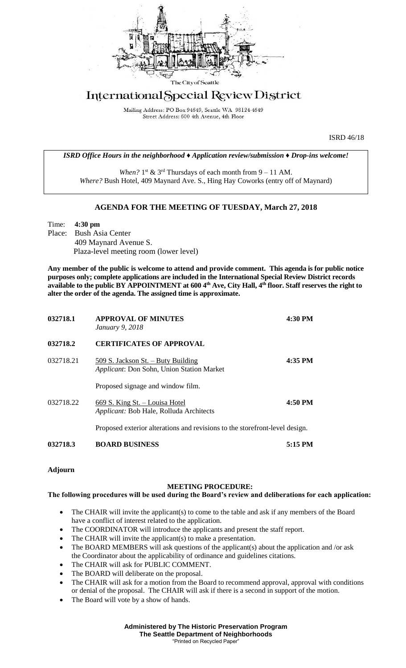

## International Special Review District

Mailing Address: PO Box 94649, Seattle WA 98124-4649 Street Address: 600 4th Avenue, 4th Floor

ISRD 46/18

*ISRD Office Hours in the neighborhood ♦ Application review/submission ♦ Drop-ins welcome!*

When?  $1<sup>st</sup>$  &  $3<sup>rd</sup>$  Thursdays of each month from  $9 - 11$  AM. *Where?* Bush Hotel, 409 Maynard Ave. S., Hing Hay Coworks (entry off of Maynard)

## **AGENDA FOR THE MEETING OF TUESDAY, March 27, 2018**

Time: **4:30 pm** Place: Bush Asia Center 409 Maynard Avenue S. Plaza-level meeting room (lower level)

**Any member of the public is welcome to attend and provide comment. This agenda is for public notice purposes only; complete applications are included in the International Special Review District records available to the public BY APPOINTMENT at 600 4th Ave, City Hall, 4th floor. Staff reserves the right to alter the order of the agenda. The assigned time is approximate.** 

| 032718.1  | <b>APPROVAL OF MINUTES</b><br>January 9, 2018                                          | 4:30 PM   |
|-----------|----------------------------------------------------------------------------------------|-----------|
| 032718.2  | <b>CERTIFICATES OF APPROVAL</b>                                                        |           |
| 032718.21 | <u>509 S. Jackson St. – Buty Building</u><br>Applicant: Don Sohn, Union Station Market | 4:35 PM   |
|           | Proposed signage and window film.                                                      |           |
| 032718.22 | 669 S. King St. - Louisa Hotel<br>Applicant: Bob Hale, Rolluda Architects              | 4:50 PM   |
|           | Proposed exterior alterations and revisions to the storefront-level design.            |           |
| 032718.3  | <b>BOARD BUSINESS</b>                                                                  | $5:15$ PM |

**Adjourn**

## **MEETING PROCEDURE:**

## **The following procedures will be used during the Board's review and deliberations for each application:**

- The CHAIR will invite the applicant(s) to come to the table and ask if any members of the Board have a conflict of interest related to the application.
- The COORDINATOR will introduce the applicants and present the staff report.
- The CHAIR will invite the applicant(s) to make a presentation.
- The BOARD MEMBERS will ask questions of the applicant(s) about the application and /or ask the Coordinator about the applicability of ordinance and guidelines citations.
- The CHAIR will ask for PUBLIC COMMENT.
- The BOARD will deliberate on the proposal.
- The CHAIR will ask for a motion from the Board to recommend approval, approval with conditions or denial of the proposal. The CHAIR will ask if there is a second in support of the motion.
- The Board will vote by a show of hands.